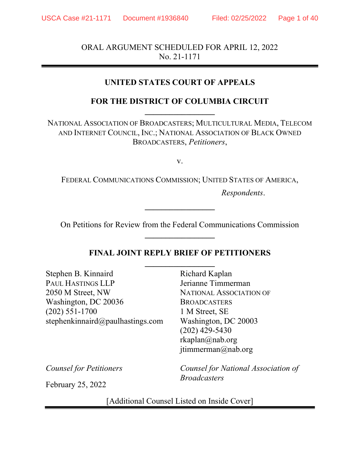ORAL ARGUMENT SCHEDULED FOR APRIL 12, 2022 No. 21-1171

## UNITED STATES COURT OF APPEALS

# FOR THE DISTRICT OF COLUMBIA CIRCUIT

NATIONAL ASSOCIATION OF BROADCASTERS; MULTICULTURAL MEDIA, TELECOM AND INTERNET COUNCIL, INC.; NATIONAL ASSOCIATION OF BLACK OWNED BROADCASTERS, Petitioners,

v.

FEDERAL COMMUNICATIONS COMMISSION; UNITED STATES OF AMERICA,

Respondents.

On Petitions for Review from the Federal Communications Commission

 $\overline{\phantom{a}}$ 

## FINAL JOINT REPLY BRIEF OF PETITIONERS  $\overline{\phantom{a}}$

Stephen B. Kinnaird PAUL HASTINGS LLP 2050 M Street, NW Washington, DC 20036 (202) 551-1700 stephenkinnaird@paulhastings.com Richard Kaplan Jerianne Timmerman NATIONAL ASSOCIATION OF **BROADCASTERS** 1 M Street, SE Washington, DC 20003 (202) 429-5430 rkaplan@nab.org jtimmerman@nab.org

Counsel for Petitioners

February 25, 2022

Counsel for National Association of **Broadcasters** 

[Additional Counsel Listed on Inside Cover]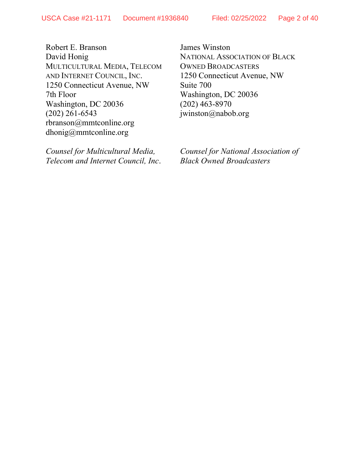Robert E. Branson David Honig MULTICULTURAL MEDIA, TELECOM AND INTERNET COUNCIL, INC. 1250 Connecticut Avenue, NW 7th Floor Washington, DC 20036 (202) 261-6543 rbranson@mmtconline.org dhonig@mmtconline.org

Counsel for Multicultural Media, Telecom and Internet Council, Inc.

James Winston NATIONAL ASSOCIATION OF BLACK OWNED BROADCASTERS 1250 Connecticut Avenue, NW Suite 700 Washington, DC 20036 (202) 463-8970 jwinston@nabob.org

Counsel for National Association of Black Owned Broadcasters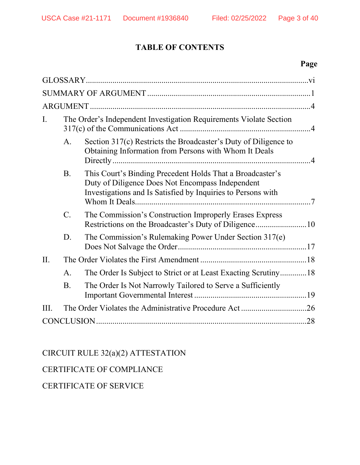# TABLE OF CONTENTS

# Page

| $\mathbf{I}$ . | The Order's Independent Investigation Requirements Violate Section |                                                                                                                                                                               |  |
|----------------|--------------------------------------------------------------------|-------------------------------------------------------------------------------------------------------------------------------------------------------------------------------|--|
|                | A.                                                                 | Section 317(c) Restricts the Broadcaster's Duty of Diligence to<br>Obtaining Information from Persons with Whom It Deals                                                      |  |
|                | <b>B.</b>                                                          | This Court's Binding Precedent Holds That a Broadcaster's<br>Duty of Diligence Does Not Encompass Independent<br>Investigations and Is Satisfied by Inquiries to Persons with |  |
|                | $\overline{C}$ .                                                   | The Commission's Construction Improperly Erases Express<br>Restrictions on the Broadcaster's Duty of Diligence10                                                              |  |
|                | D.                                                                 | The Commission's Rulemaking Power Under Section 317(e)                                                                                                                        |  |
| II.            |                                                                    |                                                                                                                                                                               |  |
|                | A.                                                                 | The Order Is Subject to Strict or at Least Exacting Scrutiny18                                                                                                                |  |
|                | <b>B.</b>                                                          | The Order Is Not Narrowly Tailored to Serve a Sufficiently                                                                                                                    |  |
| III.           |                                                                    |                                                                                                                                                                               |  |
|                |                                                                    |                                                                                                                                                                               |  |

CIRCUIT RULE 32(a)(2) ATTESTATION

# CERTIFICATE OF COMPLIANCE

CERTIFICATE OF SERVICE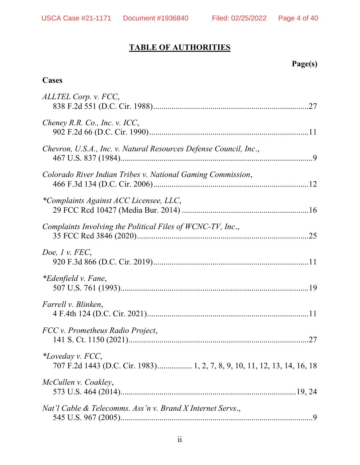# TABLE OF AUTHORITIES

# Page(s)

# **Cases**

| ALLTEL Corp. v. FCC,                                                                         |
|----------------------------------------------------------------------------------------------|
| Cheney R.R. Co., Inc. v. ICC,                                                                |
| Chevron, U.S.A., Inc. v. Natural Resources Defense Council, Inc.,                            |
| Colorado River Indian Tribes v. National Gaming Commission,                                  |
| *Complaints Against ACC Licensee, LLC,                                                       |
| Complaints Involving the Political Files of WCNC-TV, Inc.,                                   |
| Doe, $l$ v. FEC,                                                                             |
| <i>*Edenfield v. Fane,</i>                                                                   |
| Farrell v. Blinken,                                                                          |
| FCC v. Prometheus Radio Project,                                                             |
| *Loveday v. FCC,<br>707 F.2d 1443 (D.C. Cir. 1983) 1, 2, 7, 8, 9, 10, 11, 12, 13, 14, 16, 18 |
| McCullen v. Coakley,                                                                         |
| Nat'l Cable & Telecomms. Ass'n v. Brand X Internet Servs.,                                   |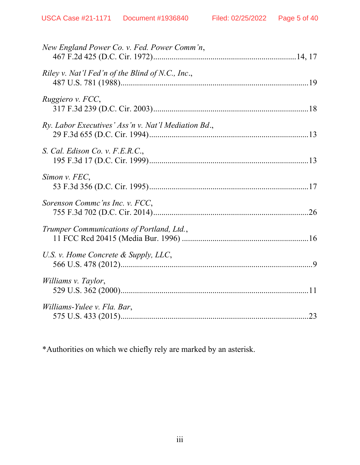| New England Power Co. v. Fed. Power Comm'n,         |
|-----------------------------------------------------|
| Riley v. Nat'l Fed'n of the Blind of N.C., Inc.,    |
| Ruggiero v. FCC,                                    |
| Ry. Labor Executives' Ass'n v. Nat'l Mediation Bd., |
| S. Cal. Edison Co. v. F.E.R.C.,                     |
| Simon v. FEC,                                       |
| Sorenson Commc'ns Inc. v. FCC,                      |
| Trumper Communications of Portland, Ltd.,           |
| U.S. v. Home Concrete & Supply, LLC,                |
| Williams v. Taylor,                                 |
| Williams-Yulee v. Fla. Bar,                         |

\*Authorities on which we chiefly rely are marked by an asterisk.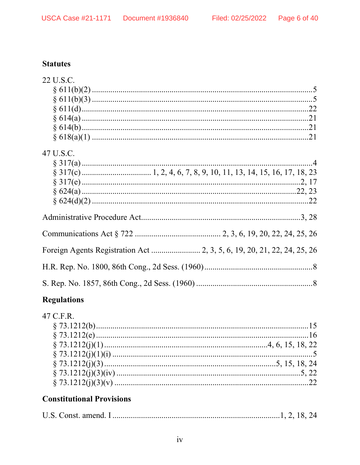# **Statutes**

| 22 U.S.C. |  |
|-----------|--|
|           |  |
|           |  |
|           |  |
|           |  |
|           |  |
|           |  |
| 47 U.S.C. |  |
|           |  |
|           |  |
|           |  |
|           |  |
|           |  |
|           |  |
|           |  |
|           |  |
|           |  |
|           |  |
|           |  |
|           |  |

# **Regulations**

| 47 C.F.R. |  |
|-----------|--|
|           |  |
|           |  |
|           |  |
|           |  |
|           |  |
|           |  |
|           |  |

# **Constitutional Provisions**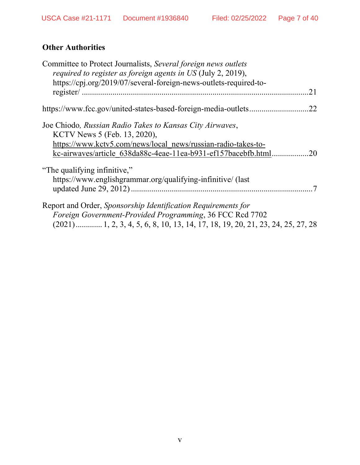# **Other Authorities**

| Committee to Protect Journalists, Several foreign news outlets<br><i>required to register as foreign agents in US (July 2, 2019),</i>                     |     |
|-----------------------------------------------------------------------------------------------------------------------------------------------------------|-----|
| https://cpj.org/2019/07/several-foreign-news-outlets-required-to-                                                                                         | 21  |
|                                                                                                                                                           | .22 |
| Joe Chiodo, Russian Radio Takes to Kansas City Airwaves,<br>KCTV News 5 (Feb. 13, 2020),<br>https://www.kctv5.com/news/local_news/russian-radio-takes-to- |     |
| kc-airwaves/article 638da88c-4eae-11ea-b931-ef157bacebfb.html                                                                                             | .20 |
| "The qualifying infinitive,"<br>https://www.englishgrammar.org/qualifying-infinitive/ (last                                                               |     |
| Report and Order, Sponsorship Identification Requirements for<br>Foreign Government-Provided Programming, 36 FCC Rcd 7702                                 |     |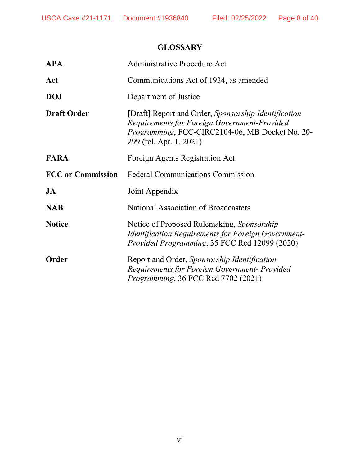# **GLOSSARY**

| <b>APA</b>               | Administrative Procedure Act                                                                                                                                                       |
|--------------------------|------------------------------------------------------------------------------------------------------------------------------------------------------------------------------------|
| Act                      | Communications Act of 1934, as amended                                                                                                                                             |
| <b>DOJ</b>               | Department of Justice                                                                                                                                                              |
| <b>Draft Order</b>       | [Draft] Report and Order, Sponsorship Identification<br>Requirements for Foreign Government-Provided<br>Programming, FCC-CIRC2104-06, MB Docket No. 20-<br>299 (rel. Apr. 1, 2021) |
| <b>FARA</b>              | Foreign Agents Registration Act                                                                                                                                                    |
| <b>FCC</b> or Commission | <b>Federal Communications Commission</b>                                                                                                                                           |
| JA                       | Joint Appendix                                                                                                                                                                     |
| <b>NAB</b>               | National Association of Broadcasters                                                                                                                                               |
| <b>Notice</b>            | Notice of Proposed Rulemaking, Sponsorship<br><b>Identification Requirements for Foreign Government-</b><br>Provided Programming, 35 FCC Rcd 12099 (2020)                          |
| <b>Order</b>             | Report and Order, Sponsorship Identification<br>Requirements for Foreign Government- Provided<br><i>Programming</i> , 36 FCC Rcd 7702 (2021)                                       |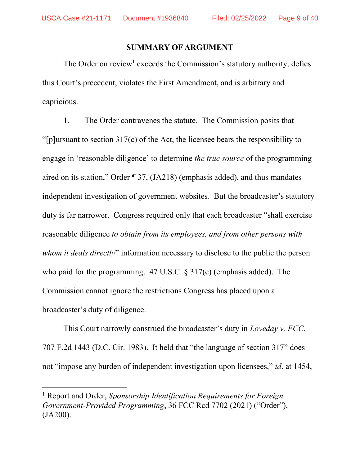### SUMMARY OF ARGUMENT

The Order on review<sup>1</sup> exceeds the Commission's statutory authority, defies this Court's precedent, violates the First Amendment, and is arbitrary and capricious.

1. The Order contravenes the statute. The Commission posits that "[p]ursuant to section 317(c) of the Act, the licensee bears the responsibility to engage in 'reasonable diligence' to determine the true source of the programming aired on its station," Order ¶ 37, (JA218) (emphasis added), and thus mandates independent investigation of government websites. But the broadcaster's statutory duty is far narrower. Congress required only that each broadcaster "shall exercise reasonable diligence to obtain from its employees, and from other persons with whom it deals directly" information necessary to disclose to the public the person who paid for the programming. 47 U.S.C. § 317(c) (emphasis added). The Commission cannot ignore the restrictions Congress has placed upon a broadcaster's duty of diligence.

This Court narrowly construed the broadcaster's duty in Loveday v. FCC, 707 F.2d 1443 (D.C. Cir. 1983). It held that "the language of section 317" does not "impose any burden of independent investigation upon licensees," id. at 1454,

<sup>&</sup>lt;sup>1</sup> Report and Order, Sponsorship Identification Requirements for Foreign Government-Provided Programming, 36 FCC Rcd 7702 (2021) ("Order"), (JA200).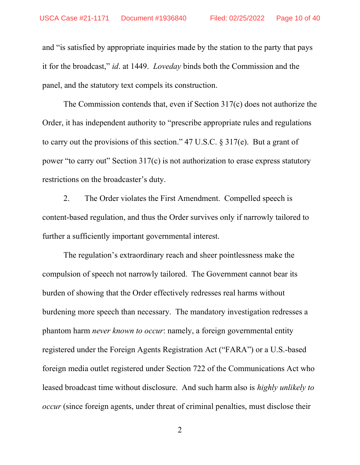and "is satisfied by appropriate inquiries made by the station to the party that pays it for the broadcast," id. at 1449. Loveday binds both the Commission and the panel, and the statutory text compels its construction.

The Commission contends that, even if Section 317(c) does not authorize the Order, it has independent authority to "prescribe appropriate rules and regulations to carry out the provisions of this section." 47 U.S.C. § 317(e). But a grant of power "to carry out" Section 317(c) is not authorization to erase express statutory restrictions on the broadcaster's duty.

2. The Order violates the First Amendment. Compelled speech is content-based regulation, and thus the Order survives only if narrowly tailored to further a sufficiently important governmental interest.

The regulation's extraordinary reach and sheer pointlessness make the compulsion of speech not narrowly tailored. The Government cannot bear its burden of showing that the Order effectively redresses real harms without burdening more speech than necessary. The mandatory investigation redresses a phantom harm never known to occur: namely, a foreign governmental entity registered under the Foreign Agents Registration Act ("FARA") or a U.S.-based foreign media outlet registered under Section 722 of the Communications Act who leased broadcast time without disclosure. And such harm also is *highly unlikely to* occur (since foreign agents, under threat of criminal penalties, must disclose their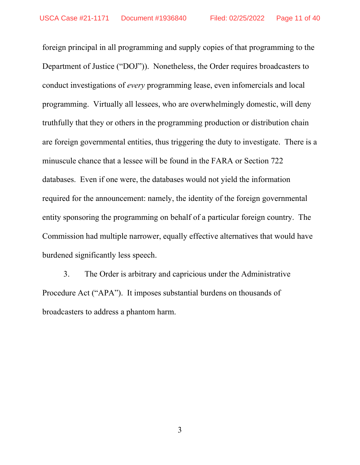foreign principal in all programming and supply copies of that programming to the Department of Justice ("DOJ")). Nonetheless, the Order requires broadcasters to conduct investigations of every programming lease, even infomercials and local programming. Virtually all lessees, who are overwhelmingly domestic, will deny truthfully that they or others in the programming production or distribution chain are foreign governmental entities, thus triggering the duty to investigate. There is a minuscule chance that a lessee will be found in the FARA or Section 722 databases. Even if one were, the databases would not yield the information required for the announcement: namely, the identity of the foreign governmental entity sponsoring the programming on behalf of a particular foreign country. The Commission had multiple narrower, equally effective alternatives that would have burdened significantly less speech.

3. The Order is arbitrary and capricious under the Administrative Procedure Act ("APA"). It imposes substantial burdens on thousands of broadcasters to address a phantom harm.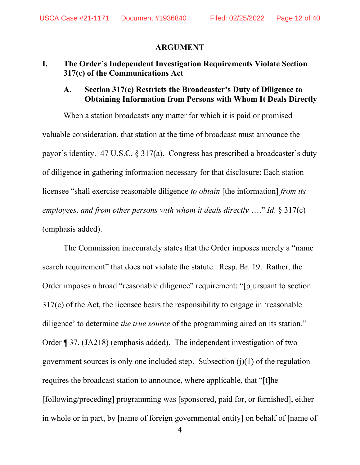#### ARGUMENT

## I. The Order's Independent Investigation Requirements Violate Section 317(c) of the Communications Act

## A. Section 317(c) Restricts the Broadcaster's Duty of Diligence to Obtaining Information from Persons with Whom It Deals Directly

When a station broadcasts any matter for which it is paid or promised valuable consideration, that station at the time of broadcast must announce the payor's identity. 47 U.S.C. § 317(a). Congress has prescribed a broadcaster's duty of diligence in gathering information necessary for that disclosure: Each station licensee "shall exercise reasonable diligence to obtain [the information] from its employees, and from other persons with whom it deals directly  $\dots$ " Id. § 317(c) (emphasis added).

The Commission inaccurately states that the Order imposes merely a "name search requirement" that does not violate the statute. Resp. Br. 19. Rather, the Order imposes a broad "reasonable diligence" requirement: "[p]ursuant to section 317(c) of the Act, the licensee bears the responsibility to engage in 'reasonable diligence' to determine *the true source* of the programming aired on its station." Order ¶ 37, (JA218) (emphasis added). The independent investigation of two government sources is only one included step. Subsection  $(i)(1)$  of the regulation requires the broadcast station to announce, where applicable, that "[t]he [following/preceding] programming was [sponsored, paid for, or furnished], either in whole or in part, by [name of foreign governmental entity] on behalf of [name of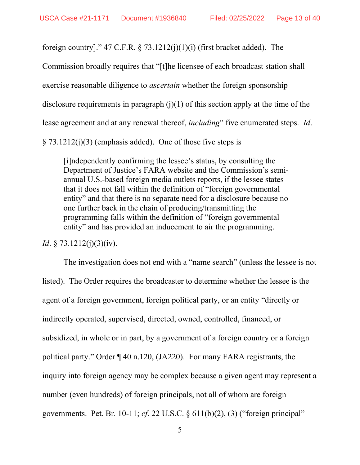foreign country]." 47 C.F.R.  $\S$  73.1212(j)(1)(j) (first bracket added). The

Commission broadly requires that "[t]he licensee of each broadcast station shall

exercise reasonable diligence to ascertain whether the foreign sponsorship

disclosure requirements in paragraph  $(j)(1)$  of this section apply at the time of the

lease agreement and at any renewal thereof, *including*" five enumerated steps. *Id.* 

 $\S$  73.1212(j)(3) (emphasis added). One of those five steps is

[i]ndependently confirming the lessee's status, by consulting the Department of Justice's FARA website and the Commission's semiannual U.S.-based foreign media outlets reports, if the lessee states that it does not fall within the definition of "foreign governmental entity" and that there is no separate need for a disclosure because no one further back in the chain of producing/transmitting the programming falls within the definition of "foreign governmental entity" and has provided an inducement to air the programming.

*Id.* § 73.1212(j)(3)(iv).

The investigation does not end with a "name search" (unless the lessee is not listed). The Order requires the broadcaster to determine whether the lessee is the agent of a foreign government, foreign political party, or an entity "directly or indirectly operated, supervised, directed, owned, controlled, financed, or subsidized, in whole or in part, by a government of a foreign country or a foreign political party." Order ¶ 40 n.120, (JA220). For many FARA registrants, the inquiry into foreign agency may be complex because a given agent may represent a number (even hundreds) of foreign principals, not all of whom are foreign governments. Pet. Br. 10-11; cf. 22 U.S.C.  $\S$  611(b)(2), (3) ("foreign principal"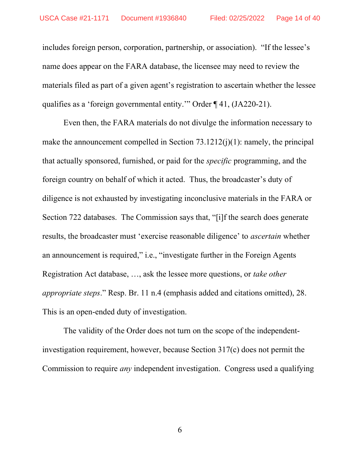includes foreign person, corporation, partnership, or association). "If the lessee's name does appear on the FARA database, the licensee may need to review the materials filed as part of a given agent's registration to ascertain whether the lessee qualifies as a 'foreign governmental entity.'" Order ¶ 41, (JA220-21).

Even then, the FARA materials do not divulge the information necessary to make the announcement compelled in Section  $73.1212(j)(1)$ : namely, the principal that actually sponsored, furnished, or paid for the specific programming, and the foreign country on behalf of which it acted. Thus, the broadcaster's duty of diligence is not exhausted by investigating inconclusive materials in the FARA or Section 722 databases. The Commission says that, "[i]f the search does generate results, the broadcaster must 'exercise reasonable diligence' to ascertain whether an announcement is required," i.e., "investigate further in the Foreign Agents Registration Act database, …, ask the lessee more questions, or take other appropriate steps." Resp. Br. 11 n.4 (emphasis added and citations omitted), 28. This is an open-ended duty of investigation.

The validity of the Order does not turn on the scope of the independentinvestigation requirement, however, because Section 317(c) does not permit the Commission to require any independent investigation. Congress used a qualifying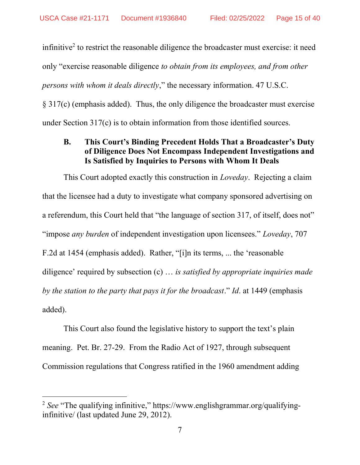infinitive<sup>2</sup> to restrict the reasonable diligence the broadcaster must exercise: it need only "exercise reasonable diligence to obtain from its employees, and from other persons with whom it deals directly," the necessary information. 47 U.S.C. § 317(c) (emphasis added). Thus, the only diligence the broadcaster must exercise

under Section 317(c) is to obtain information from those identified sources.

# B. This Court's Binding Precedent Holds That a Broadcaster's Duty of Diligence Does Not Encompass Independent Investigations and Is Satisfied by Inquiries to Persons with Whom It Deals

This Court adopted exactly this construction in *Loveday*. Rejecting a claim that the licensee had a duty to investigate what company sponsored advertising on a referendum, this Court held that "the language of section 317, of itself, does not" "impose any burden of independent investigation upon licensees." Loveday, 707 F.2d at 1454 (emphasis added). Rather, "[i]n its terms, ... the 'reasonable diligence' required by subsection  $(c)$   $\dots$  is satisfied by appropriate inquiries made by the station to the party that pays it for the broadcast." Id. at 1449 (emphasis added).

This Court also found the legislative history to support the text's plain meaning. Pet. Br. 27-29. From the Radio Act of 1927, through subsequent Commission regulations that Congress ratified in the 1960 amendment adding

<sup>&</sup>lt;sup>2</sup> See "The qualifying infinitive," https://www.englishgrammar.org/qualifyinginfinitive/ (last updated June 29, 2012).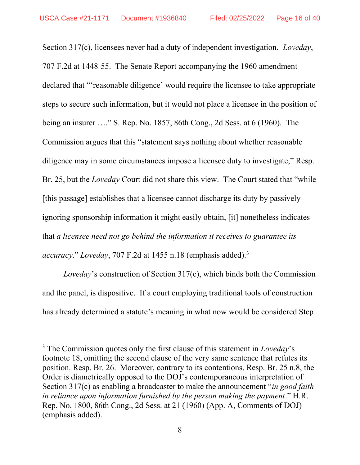Section 317(c), licensees never had a duty of independent investigation. *Loveday*, 707 F.2d at 1448-55. The Senate Report accompanying the 1960 amendment declared that "'reasonable diligence' would require the licensee to take appropriate steps to secure such information, but it would not place a licensee in the position of being an insurer …." S. Rep. No. 1857, 86th Cong., 2d Sess. at 6 (1960). The Commission argues that this "statement says nothing about whether reasonable diligence may in some circumstances impose a licensee duty to investigate," Resp. Br. 25, but the *Loveday* Court did not share this view. The Court stated that "while" [this passage] establishes that a licensee cannot discharge its duty by passively ignoring sponsorship information it might easily obtain, [it] nonetheless indicates that a licensee need not go behind the information it receives to guarantee its accuracy." Loveday, 707 F.2d at 1455 n.18 (emphasis added).<sup>3</sup>

Loveday's construction of Section 317(c), which binds both the Commission and the panel, is dispositive. If a court employing traditional tools of construction has already determined a statute's meaning in what now would be considered Step

 $3$  The Commission quotes only the first clause of this statement in *Loveday*'s footnote 18, omitting the second clause of the very same sentence that refutes its position. Resp. Br. 26. Moreover, contrary to its contentions, Resp. Br. 25 n.8, the Order is diametrically opposed to the DOJ's contemporaneous interpretation of Section 317(c) as enabling a broadcaster to make the announcement "*in good faith* in reliance upon information furnished by the person making the payment." H.R. Rep. No. 1800, 86th Cong., 2d Sess. at 21 (1960) (App. A, Comments of DOJ) (emphasis added).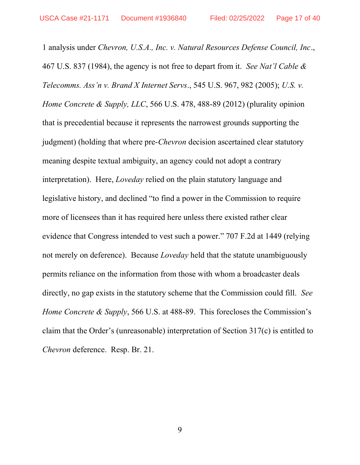1 analysis under Chevron, U.S.A., Inc. v. Natural Resources Defense Council, Inc., 467 U.S. 837 (1984), the agency is not free to depart from it. See Nat'l Cable & Telecomms. Ass'n v. Brand X Internet Servs., 545 U.S. 967, 982 (2005); U.S. v. Home Concrete & Supply, LLC, 566 U.S. 478, 488-89 (2012) (plurality opinion that is precedential because it represents the narrowest grounds supporting the judgment) (holding that where pre-*Chevron* decision ascertained clear statutory meaning despite textual ambiguity, an agency could not adopt a contrary interpretation). Here, Loveday relied on the plain statutory language and legislative history, and declined "to find a power in the Commission to require more of licensees than it has required here unless there existed rather clear evidence that Congress intended to vest such a power." 707 F.2d at 1449 (relying not merely on deference). Because *Loveday* held that the statute unambiguously permits reliance on the information from those with whom a broadcaster deals directly, no gap exists in the statutory scheme that the Commission could fill. See Home Concrete & Supply, 566 U.S. at 488-89. This forecloses the Commission's claim that the Order's (unreasonable) interpretation of Section 317(c) is entitled to Chevron deference. Resp. Br. 21.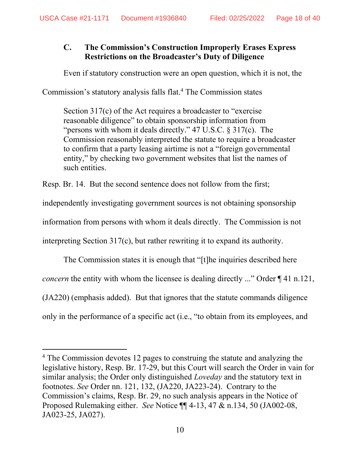# C. The Commission's Construction Improperly Erases Express Restrictions on the Broadcaster's Duty of Diligence

Even if statutory construction were an open question, which it is not, the

Commission's statutory analysis falls flat.<sup>4</sup> The Commission states

Section 317(c) of the Act requires a broadcaster to "exercise reasonable diligence" to obtain sponsorship information from "persons with whom it deals directly." 47 U.S.C. § 317(c). The Commission reasonably interpreted the statute to require a broadcaster to confirm that a party leasing airtime is not a "foreign governmental entity," by checking two government websites that list the names of such entities.

Resp. Br. 14. But the second sentence does not follow from the first;

independently investigating government sources is not obtaining sponsorship

information from persons with whom it deals directly. The Commission is not

interpreting Section 317(c), but rather rewriting it to expand its authority.

The Commission states it is enough that "[t]he inquiries described here concern the entity with whom the licensee is dealing directly ..." Order ¶ 41 n.121, (JA220) (emphasis added). But that ignores that the statute commands diligence only in the performance of a specific act (i.e., "to obtain from its employees, and

<sup>&</sup>lt;sup>4</sup> The Commission devotes 12 pages to construing the statute and analyzing the legislative history, Resp. Br. 17-29, but this Court will search the Order in vain for similar analysis; the Order only distinguished *Loveday* and the statutory text in footnotes. See Order nn. 121, 132, (JA220, JA223-24). Contrary to the Commission's claims, Resp. Br. 29, no such analysis appears in the Notice of Proposed Rulemaking either. See Notice ¶¶ 4-13, 47 & n.134, 50 (JA002-08, JA023-25, JA027).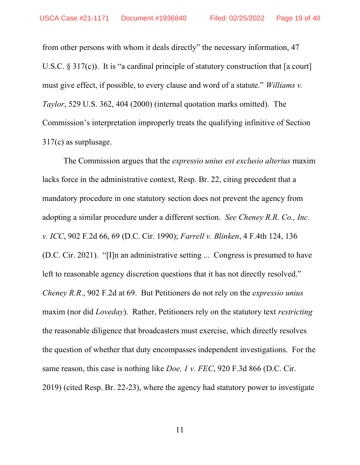from other persons with whom it deals directly" the necessary information, 47 U.S.C. § 317(c)). It is "a cardinal principle of statutory construction that [a court] must give effect, if possible, to every clause and word of a statute." Williams v. Taylor, 529 U.S. 362, 404 (2000) (internal quotation marks omitted). The Commission's interpretation improperly treats the qualifying infinitive of Section 317(c) as surplusage.

The Commission argues that the *expressio unius est exclusio alterius* maxim lacks force in the administrative context, Resp. Br. 22, citing precedent that a mandatory procedure in one statutory section does not prevent the agency from adopting a similar procedure under a different section. See Cheney R.R. Co., Inc. v. ICC, 902 F.2d 66, 69 (D.C. Cir. 1990); Farrell v. Blinken, 4 F.4th 124, 136 (D.C. Cir. 2021). "[I]n an administrative setting ... Congress is presumed to have left to reasonable agency discretion questions that it has not directly resolved." Cheney R.R., 902 F.2d at 69. But Petitioners do not rely on the expressio unius maxim (nor did *Loveday*). Rather, Petitioners rely on the statutory text *restricting* the reasonable diligence that broadcasters must exercise, which directly resolves the question of whether that duty encompasses independent investigations. For the same reason, this case is nothing like *Doe, 1 v. FEC*, 920 F.3d 866 (D.C. Cir. 2019) (cited Resp. Br. 22-23), where the agency had statutory power to investigate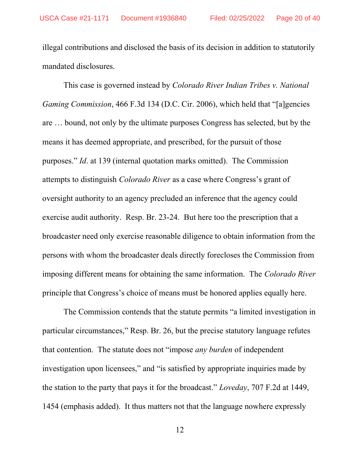illegal contributions and disclosed the basis of its decision in addition to statutorily mandated disclosures.

This case is governed instead by Colorado River Indian Tribes v. National Gaming Commission, 466 F.3d 134 (D.C. Cir. 2006), which held that "[a]gencies are … bound, not only by the ultimate purposes Congress has selected, but by the means it has deemed appropriate, and prescribed, for the pursuit of those purposes." Id. at 139 (internal quotation marks omitted). The Commission attempts to distinguish Colorado River as a case where Congress's grant of oversight authority to an agency precluded an inference that the agency could exercise audit authority. Resp. Br. 23-24. But here too the prescription that a broadcaster need only exercise reasonable diligence to obtain information from the persons with whom the broadcaster deals directly forecloses the Commission from imposing different means for obtaining the same information. The Colorado River principle that Congress's choice of means must be honored applies equally here.

The Commission contends that the statute permits "a limited investigation in particular circumstances," Resp. Br. 26, but the precise statutory language refutes that contention. The statute does not "impose any burden of independent investigation upon licensees," and "is satisfied by appropriate inquiries made by the station to the party that pays it for the broadcast." Loveday, 707 F.2d at 1449, 1454 (emphasis added). It thus matters not that the language nowhere expressly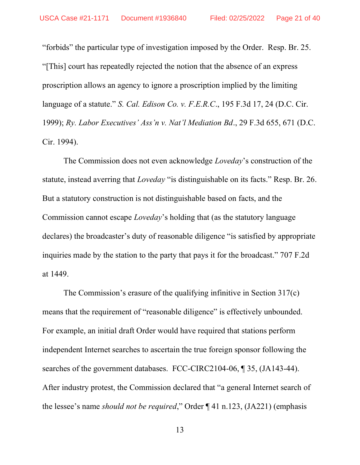"forbids" the particular type of investigation imposed by the Order. Resp. Br. 25. "[This] court has repeatedly rejected the notion that the absence of an express proscription allows an agency to ignore a proscription implied by the limiting language of a statute." S. Cal. Edison Co. v. F.E.R.C., 195 F.3d 17, 24 (D.C. Cir. 1999); Ry. Labor Executives' Ass'n v. Nat'l Mediation Bd., 29 F.3d 655, 671 (D.C. Cir. 1994).

The Commission does not even acknowledge Loveday's construction of the statute, instead averring that Loveday "is distinguishable on its facts." Resp. Br. 26. But a statutory construction is not distinguishable based on facts, and the Commission cannot escape Loveday's holding that (as the statutory language declares) the broadcaster's duty of reasonable diligence "is satisfied by appropriate inquiries made by the station to the party that pays it for the broadcast." 707 F.2d at 1449.

The Commission's erasure of the qualifying infinitive in Section 317(c) means that the requirement of "reasonable diligence" is effectively unbounded. For example, an initial draft Order would have required that stations perform independent Internet searches to ascertain the true foreign sponsor following the searches of the government databases. FCC-CIRC2104-06, ¶ 35, (JA143-44). After industry protest, the Commission declared that "a general Internet search of the lessee's name should not be required," Order ¶ 41 n.123, (JA221) (emphasis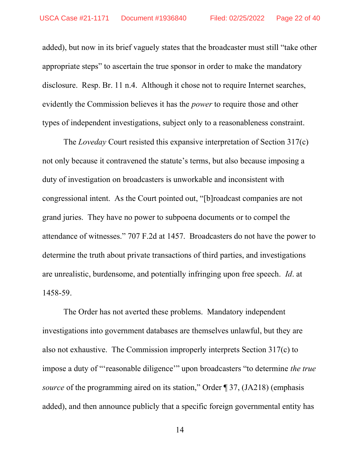added), but now in its brief vaguely states that the broadcaster must still "take other appropriate steps" to ascertain the true sponsor in order to make the mandatory disclosure. Resp. Br. 11 n.4. Although it chose not to require Internet searches, evidently the Commission believes it has the power to require those and other types of independent investigations, subject only to a reasonableness constraint.

The *Loveday* Court resisted this expansive interpretation of Section 317(c) not only because it contravened the statute's terms, but also because imposing a duty of investigation on broadcasters is unworkable and inconsistent with congressional intent. As the Court pointed out, "[b]roadcast companies are not grand juries. They have no power to subpoena documents or to compel the attendance of witnesses." 707 F.2d at 1457. Broadcasters do not have the power to determine the truth about private transactions of third parties, and investigations are unrealistic, burdensome, and potentially infringing upon free speech. Id. at 1458-59.

The Order has not averted these problems. Mandatory independent investigations into government databases are themselves unlawful, but they are also not exhaustive. The Commission improperly interprets Section 317(c) to impose a duty of "'reasonable diligence'" upon broadcasters "to determine the true source of the programming aired on its station," Order ¶ 37, (JA218) (emphasis added), and then announce publicly that a specific foreign governmental entity has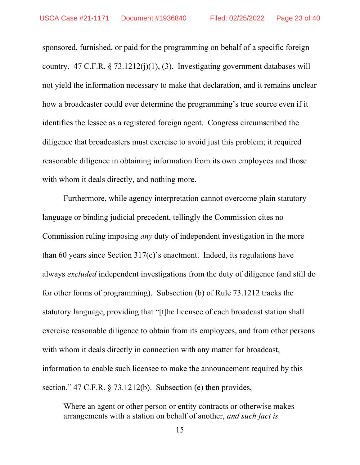sponsored, furnished, or paid for the programming on behalf of a specific foreign country. 47 C.F.R.  $\S$  73.1212(j)(1), (3). Investigating government databases will not yield the information necessary to make that declaration, and it remains unclear how a broadcaster could ever determine the programming's true source even if it identifies the lessee as a registered foreign agent. Congress circumscribed the diligence that broadcasters must exercise to avoid just this problem; it required reasonable diligence in obtaining information from its own employees and those with whom it deals directly, and nothing more.

Furthermore, while agency interpretation cannot overcome plain statutory language or binding judicial precedent, tellingly the Commission cites no Commission ruling imposing any duty of independent investigation in the more than 60 years since Section 317(c)'s enactment. Indeed, its regulations have always excluded independent investigations from the duty of diligence (and still do for other forms of programming). Subsection (b) of Rule 73.1212 tracks the statutory language, providing that "[t]he licensee of each broadcast station shall exercise reasonable diligence to obtain from its employees, and from other persons with whom it deals directly in connection with any matter for broadcast, information to enable such licensee to make the announcement required by this section." 47 C.F.R. § 73.1212(b). Subsection (e) then provides,

Where an agent or other person or entity contracts or otherwise makes arrangements with a station on behalf of another, and such fact is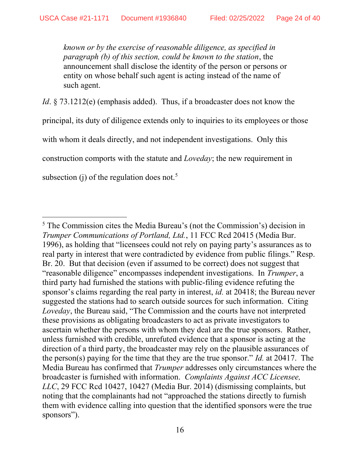known or by the exercise of reasonable diligence, as specified in paragraph (b) of this section, could be known to the station, the announcement shall disclose the identity of the person or persons or entity on whose behalf such agent is acting instead of the name of such agent.

Id. § 73.1212(e) (emphasis added). Thus, if a broadcaster does not know the principal, its duty of diligence extends only to inquiries to its employees or those with whom it deals directly, and not independent investigations. Only this construction comports with the statute and Loveday; the new requirement in subsection (j) of the regulation does not.<sup>5</sup>

<sup>5</sup> The Commission cites the Media Bureau's (not the Commission's) decision in Trumper Communications of Portland, Ltd., 11 FCC Rcd 20415 (Media Bur. 1996), as holding that "licensees could not rely on paying party's assurances as to real party in interest that were contradicted by evidence from public filings." Resp. Br. 20. But that decision (even if assumed to be correct) does not suggest that "reasonable diligence" encompasses independent investigations. In Trumper, a third party had furnished the stations with public-filing evidence refuting the sponsor's claims regarding the real party in interest, id. at 20418; the Bureau never suggested the stations had to search outside sources for such information. Citing Loveday, the Bureau said, "The Commission and the courts have not interpreted these provisions as obligating broadcasters to act as private investigators to ascertain whether the persons with whom they deal are the true sponsors. Rather, unless furnished with credible, unrefuted evidence that a sponsor is acting at the direction of a third party, the broadcaster may rely on the plausible assurances of the person(s) paying for the time that they are the true sponsor." Id. at 20417. The Media Bureau has confirmed that Trumper addresses only circumstances where the broadcaster is furnished with information. Complaints Against ACC Licensee, LLC, 29 FCC Rcd 10427, 10427 (Media Bur. 2014) (dismissing complaints, but noting that the complainants had not "approached the stations directly to furnish them with evidence calling into question that the identified sponsors were the true sponsors").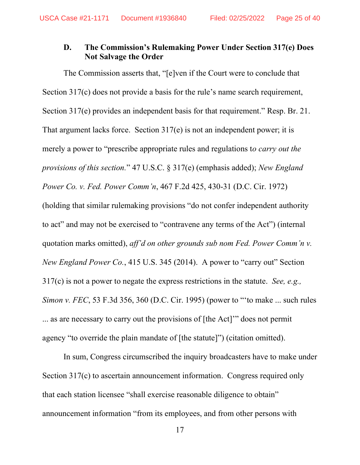## D. The Commission's Rulemaking Power Under Section 317(e) Does Not Salvage the Order

The Commission asserts that, "[e]ven if the Court were to conclude that Section 317(c) does not provide a basis for the rule's name search requirement, Section 317(e) provides an independent basis for that requirement." Resp. Br. 21. That argument lacks force. Section 317(e) is not an independent power; it is merely a power to "prescribe appropriate rules and regulations to *carry out the* provisions of this section." 47 U.S.C. § 317(e) (emphasis added); New England Power Co. v. Fed. Power Comm'n, 467 F.2d 425, 430-31 (D.C. Cir. 1972) (holding that similar rulemaking provisions "do not confer independent authority to act" and may not be exercised to "contravene any terms of the Act") (internal quotation marks omitted), aff'd on other grounds sub nom Fed. Power Comm'n v. New England Power Co., 415 U.S. 345 (2014). A power to "carry out" Section  $317(c)$  is not a power to negate the express restrictions in the statute. See, e.g., Simon v. FEC, 53 F.3d 356, 360 (D.C. Cir. 1995) (power to "'to make ... such rules ... as are necessary to carry out the provisions of [the Act]'" does not permit agency "to override the plain mandate of [the statute]") (citation omitted).

In sum, Congress circumscribed the inquiry broadcasters have to make under Section 317(c) to ascertain announcement information. Congress required only that each station licensee "shall exercise reasonable diligence to obtain" announcement information "from its employees, and from other persons with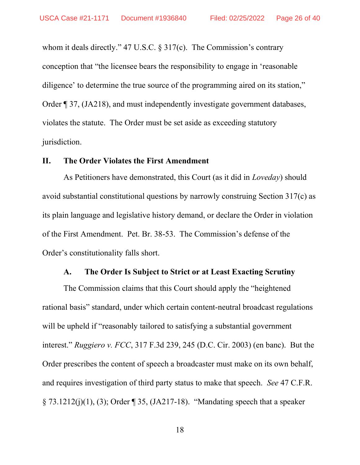whom it deals directly." 47 U.S.C. § 317(c). The Commission's contrary conception that "the licensee bears the responsibility to engage in 'reasonable diligence' to determine the true source of the programming aired on its station," Order ¶ 37, (JA218), and must independently investigate government databases, violates the statute. The Order must be set aside as exceeding statutory jurisdiction.

### II. The Order Violates the First Amendment

As Petitioners have demonstrated, this Court (as it did in *Loveday*) should avoid substantial constitutional questions by narrowly construing Section 317(c) as its plain language and legislative history demand, or declare the Order in violation of the First Amendment. Pet. Br. 38-53. The Commission's defense of the Order's constitutionality falls short.

#### A. The Order Is Subject to Strict or at Least Exacting Scrutiny

The Commission claims that this Court should apply the "heightened rational basis" standard, under which certain content-neutral broadcast regulations will be upheld if "reasonably tailored to satisfying a substantial government interest." Ruggiero v. FCC, 317 F.3d 239, 245 (D.C. Cir. 2003) (en banc). But the Order prescribes the content of speech a broadcaster must make on its own behalf, and requires investigation of third party status to make that speech. See 47 C.F.R. § 73.1212(j)(1), (3); Order ¶ 35, (JA217-18). "Mandating speech that a speaker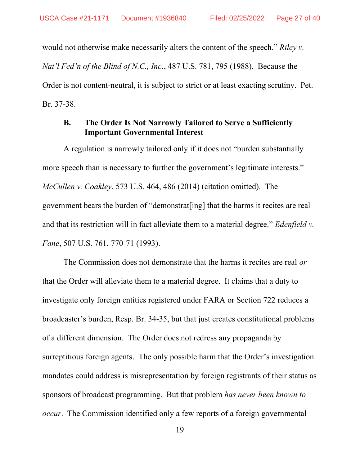would not otherwise make necessarily alters the content of the speech." Riley v. Nat'l Fed'n of the Blind of N.C., Inc., 487 U.S. 781, 795 (1988). Because the Order is not content-neutral, it is subject to strict or at least exacting scrutiny. Pet. Br. 37-38.

## B. The Order Is Not Narrowly Tailored to Serve a Sufficiently Important Governmental Interest

A regulation is narrowly tailored only if it does not "burden substantially more speech than is necessary to further the government's legitimate interests." McCullen v. Coakley, 573 U.S. 464, 486 (2014) (citation omitted). The government bears the burden of "demonstrat[ing] that the harms it recites are real and that its restriction will in fact alleviate them to a material degree." *Edenfield v.* Fane, 507 U.S. 761, 770-71 (1993).

The Commission does not demonstrate that the harms it recites are real *or* that the Order will alleviate them to a material degree. It claims that a duty to investigate only foreign entities registered under FARA or Section 722 reduces a broadcaster's burden, Resp. Br. 34-35, but that just creates constitutional problems of a different dimension. The Order does not redress any propaganda by surreptitious foreign agents. The only possible harm that the Order's investigation mandates could address is misrepresentation by foreign registrants of their status as sponsors of broadcast programming. But that problem has never been known to occur. The Commission identified only a few reports of a foreign governmental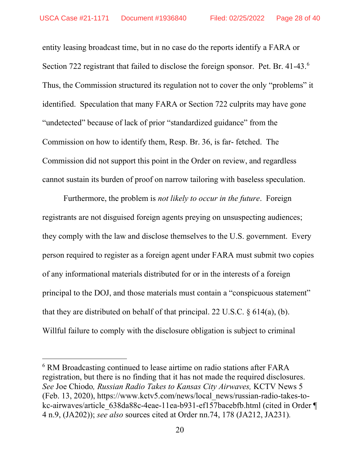entity leasing broadcast time, but in no case do the reports identify a FARA or Section 722 registrant that failed to disclose the foreign sponsor. Pet. Br. 41-43.<sup>6</sup> Thus, the Commission structured its regulation not to cover the only "problems" it identified. Speculation that many FARA or Section 722 culprits may have gone "undetected" because of lack of prior "standardized guidance" from the Commission on how to identify them, Resp. Br. 36, is far- fetched. The Commission did not support this point in the Order on review, and regardless cannot sustain its burden of proof on narrow tailoring with baseless speculation.

Furthermore, the problem is *not likely to occur in the future*. Foreign registrants are not disguised foreign agents preying on unsuspecting audiences; they comply with the law and disclose themselves to the U.S. government. Every person required to register as a foreign agent under FARA must submit two copies of any informational materials distributed for or in the interests of a foreign principal to the DOJ, and those materials must contain a "conspicuous statement" that they are distributed on behalf of that principal. 22 U.S.C.  $\S$  614(a), (b). Willful failure to comply with the disclosure obligation is subject to criminal

<sup>&</sup>lt;sup>6</sup> RM Broadcasting continued to lease airtime on radio stations after FARA registration, but there is no finding that it has not made the required disclosures. See Joe Chiodo, Russian Radio Takes to Kansas City Airwaves, KCTV News 5 (Feb. 13, 2020), https://www.kctv5.com/news/local\_news/russian-radio-takes-tokc-airwaves/article 638da88c-4eae-11ea-b931-ef157bacebfb.html (cited in Order ¶ 4 n.9, (JA202)); see also sources cited at Order nn.74, 178 (JA212, JA231).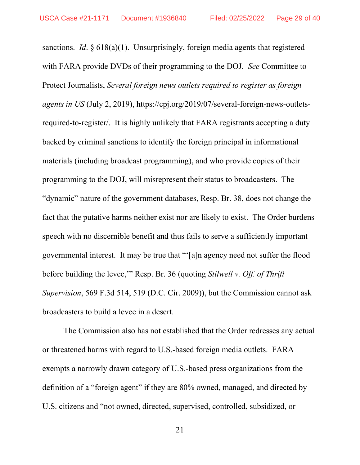sanctions. *Id.*  $\S 618(a)(1)$ . Unsurprisingly, foreign media agents that registered with FARA provide DVDs of their programming to the DOJ. See Committee to Protect Journalists, Several foreign news outlets required to register as foreign agents in US (July 2, 2019), https://cpj.org/2019/07/several-foreign-news-outletsrequired-to-register/. It is highly unlikely that FARA registrants accepting a duty backed by criminal sanctions to identify the foreign principal in informational materials (including broadcast programming), and who provide copies of their programming to the DOJ, will misrepresent their status to broadcasters. The "dynamic" nature of the government databases, Resp. Br. 38, does not change the fact that the putative harms neither exist nor are likely to exist. The Order burdens speech with no discernible benefit and thus fails to serve a sufficiently important governmental interest. It may be true that "'[a]n agency need not suffer the flood before building the levee,'" Resp. Br. 36 (quoting Stilwell v. Off. of Thrift Supervision, 569 F.3d 514, 519 (D.C. Cir. 2009)), but the Commission cannot ask broadcasters to build a levee in a desert.

The Commission also has not established that the Order redresses any actual or threatened harms with regard to U.S.-based foreign media outlets. FARA exempts a narrowly drawn category of U.S.-based press organizations from the definition of a "foreign agent" if they are 80% owned, managed, and directed by U.S. citizens and "not owned, directed, supervised, controlled, subsidized, or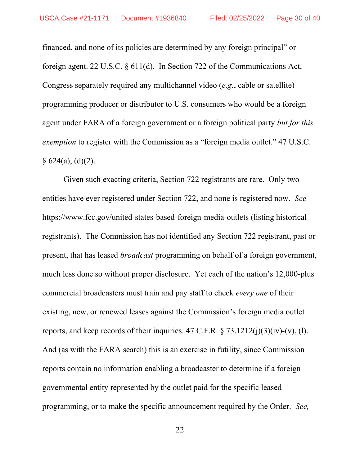financed, and none of its policies are determined by any foreign principal" or foreign agent. 22 U.S.C. § 611(d). In Section 722 of the Communications Act, Congress separately required any multichannel video (e.g., cable or satellite) programming producer or distributor to U.S. consumers who would be a foreign agent under FARA of a foreign government or a foreign political party but for this exemption to register with the Commission as a "foreign media outlet." 47 U.S.C.  $§ 624(a), (d)(2).$ 

Given such exacting criteria, Section 722 registrants are rare. Only two entities have ever registered under Section 722, and none is registered now. See https://www.fcc.gov/united-states-based-foreign-media-outlets (listing historical registrants). The Commission has not identified any Section 722 registrant, past or present, that has leased *broadcast* programming on behalf of a foreign government, much less done so without proper disclosure. Yet each of the nation's 12,000-plus commercial broadcasters must train and pay staff to check every one of their existing, new, or renewed leases against the Commission's foreign media outlet reports, and keep records of their inquiries. 47 C.F.R.  $\S 73.1212(i)(3)(iv)-(v)$ , (1). And (as with the FARA search) this is an exercise in futility, since Commission reports contain no information enabling a broadcaster to determine if a foreign governmental entity represented by the outlet paid for the specific leased programming, or to make the specific announcement required by the Order. See,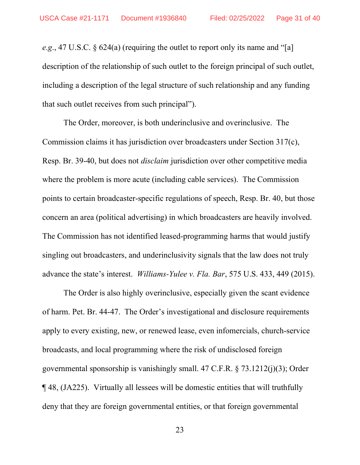e.g., 47 U.S.C.  $\S$  624(a) (requiring the outlet to report only its name and "[a] description of the relationship of such outlet to the foreign principal of such outlet, including a description of the legal structure of such relationship and any funding that such outlet receives from such principal").

The Order, moreover, is both underinclusive and overinclusive. The Commission claims it has jurisdiction over broadcasters under Section 317(c), Resp. Br. 39-40, but does not disclaim jurisdiction over other competitive media where the problem is more acute (including cable services). The Commission points to certain broadcaster-specific regulations of speech, Resp. Br. 40, but those concern an area (political advertising) in which broadcasters are heavily involved. The Commission has not identified leased-programming harms that would justify singling out broadcasters, and underinclusivity signals that the law does not truly advance the state's interest. Williams-Yulee v. Fla. Bar, 575 U.S. 433, 449 (2015).

The Order is also highly overinclusive, especially given the scant evidence of harm. Pet. Br. 44-47. The Order's investigational and disclosure requirements apply to every existing, new, or renewed lease, even infomercials, church-service broadcasts, and local programming where the risk of undisclosed foreign governmental sponsorship is vanishingly small. 47 C.F.R. § 73.1212(j)(3); Order ¶ 48, (JA225). Virtually all lessees will be domestic entities that will truthfully deny that they are foreign governmental entities, or that foreign governmental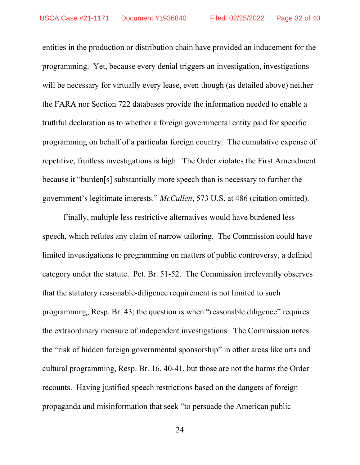entities in the production or distribution chain have provided an inducement for the programming. Yet, because every denial triggers an investigation, investigations will be necessary for virtually every lease, even though (as detailed above) neither the FARA nor Section 722 databases provide the information needed to enable a truthful declaration as to whether a foreign governmental entity paid for specific programming on behalf of a particular foreign country. The cumulative expense of repetitive, fruitless investigations is high. The Order violates the First Amendment because it "burden[s] substantially more speech than is necessary to further the government's legitimate interests." McCullen, 573 U.S. at 486 (citation omitted).

Finally, multiple less restrictive alternatives would have burdened less speech, which refutes any claim of narrow tailoring. The Commission could have limited investigations to programming on matters of public controversy, a defined category under the statute. Pet. Br. 51-52. The Commission irrelevantly observes that the statutory reasonable-diligence requirement is not limited to such programming, Resp. Br. 43; the question is when "reasonable diligence" requires the extraordinary measure of independent investigations. The Commission notes the "risk of hidden foreign governmental sponsorship" in other areas like arts and cultural programming, Resp. Br. 16, 40-41, but those are not the harms the Order recounts. Having justified speech restrictions based on the dangers of foreign propaganda and misinformation that seek "to persuade the American public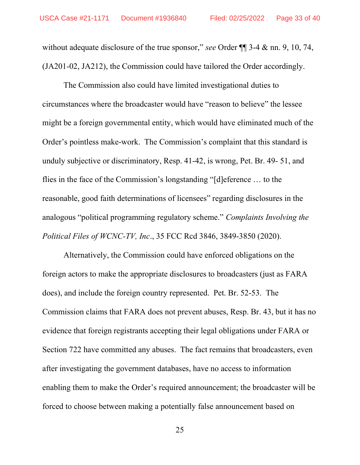without adequate disclosure of the true sponsor," see Order  $\P$  3-4 & nn. 9, 10, 74, (JA201-02, JA212), the Commission could have tailored the Order accordingly.

The Commission also could have limited investigational duties to circumstances where the broadcaster would have "reason to believe" the lessee might be a foreign governmental entity, which would have eliminated much of the Order's pointless make-work. The Commission's complaint that this standard is unduly subjective or discriminatory, Resp. 41-42, is wrong, Pet. Br. 49- 51, and flies in the face of the Commission's longstanding "[d]eference … to the reasonable, good faith determinations of licensees" regarding disclosures in the analogous "political programming regulatory scheme." Complaints Involving the Political Files of WCNC-TV, Inc., 35 FCC Rcd 3846, 3849-3850 (2020).

Alternatively, the Commission could have enforced obligations on the foreign actors to make the appropriate disclosures to broadcasters (just as FARA does), and include the foreign country represented. Pet. Br. 52-53. The Commission claims that FARA does not prevent abuses, Resp. Br. 43, but it has no evidence that foreign registrants accepting their legal obligations under FARA or Section 722 have committed any abuses. The fact remains that broadcasters, even after investigating the government databases, have no access to information enabling them to make the Order's required announcement; the broadcaster will be forced to choose between making a potentially false announcement based on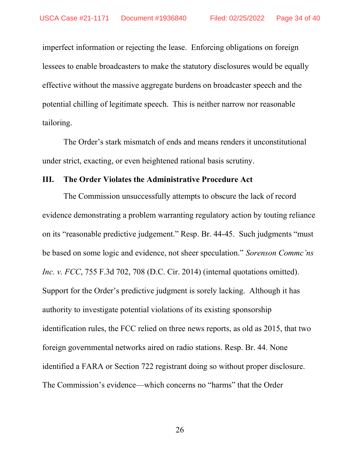imperfect information or rejecting the lease. Enforcing obligations on foreign lessees to enable broadcasters to make the statutory disclosures would be equally effective without the massive aggregate burdens on broadcaster speech and the potential chilling of legitimate speech. This is neither narrow nor reasonable tailoring.

The Order's stark mismatch of ends and means renders it unconstitutional under strict, exacting, or even heightened rational basis scrutiny.

### III. The Order Violates the Administrative Procedure Act

The Commission unsuccessfully attempts to obscure the lack of record evidence demonstrating a problem warranting regulatory action by touting reliance on its "reasonable predictive judgement." Resp. Br. 44-45. Such judgments "must be based on some logic and evidence, not sheer speculation." Sorenson Commc'ns Inc. v. FCC, 755 F.3d 702, 708 (D.C. Cir. 2014) (internal quotations omitted). Support for the Order's predictive judgment is sorely lacking. Although it has authority to investigate potential violations of its existing sponsorship identification rules, the FCC relied on three news reports, as old as 2015, that two foreign governmental networks aired on radio stations. Resp. Br. 44. None identified a FARA or Section 722 registrant doing so without proper disclosure. The Commission's evidence—which concerns no "harms" that the Order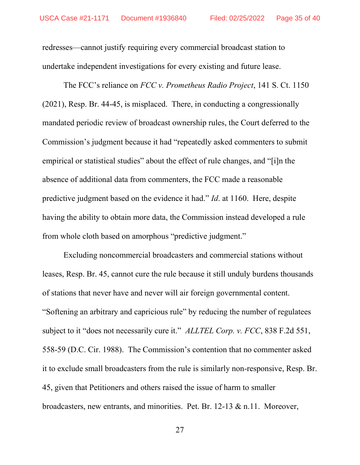redresses—cannot justify requiring every commercial broadcast station to undertake independent investigations for every existing and future lease.

The FCC's reliance on *FCC v. Prometheus Radio Project*, 141 S. Ct. 1150 (2021), Resp. Br. 44-45, is misplaced. There, in conducting a congressionally mandated periodic review of broadcast ownership rules, the Court deferred to the Commission's judgment because it had "repeatedly asked commenters to submit empirical or statistical studies" about the effect of rule changes, and "[i]n the absence of additional data from commenters, the FCC made a reasonable predictive judgment based on the evidence it had." Id. at 1160. Here, despite having the ability to obtain more data, the Commission instead developed a rule from whole cloth based on amorphous "predictive judgment."

Excluding noncommercial broadcasters and commercial stations without leases, Resp. Br. 45, cannot cure the rule because it still unduly burdens thousands of stations that never have and never will air foreign governmental content. "Softening an arbitrary and capricious rule" by reducing the number of regulatees subject to it "does not necessarily cure it." ALLTEL Corp. v. FCC, 838 F.2d 551, 558-59 (D.C. Cir. 1988). The Commission's contention that no commenter asked it to exclude small broadcasters from the rule is similarly non-responsive, Resp. Br. 45, given that Petitioners and others raised the issue of harm to smaller broadcasters, new entrants, and minorities. Pet. Br. 12-13 & n.11. Moreover,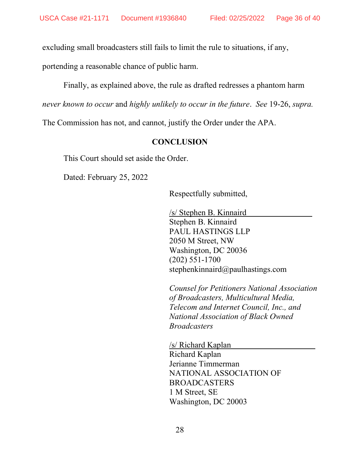excluding small broadcasters still fails to limit the rule to situations, if any,

portending a reasonable chance of public harm.

Finally, as explained above, the rule as drafted redresses a phantom harm

never known to occur and highly unlikely to occur in the future. See 19-26, supra.

The Commission has not, and cannot, justify the Order under the APA.

### **CONCLUSION**

This Court should set aside the Order.

Dated: February 25, 2022

Respectfully submitted,

/s/ Stephen B. Kinnaird Stephen B. Kinnaird PAUL HASTINGS LLP 2050 M Street, NW Washington, DC 20036 (202) 551-1700 stephenkinnaird@paulhastings.com

Counsel for Petitioners National Association of Broadcasters, Multicultural Media, Telecom and Internet Council, Inc., and National Association of Black Owned **Broadcasters** 

/s/ Richard Kaplan Richard Kaplan Jerianne Timmerman NATIONAL ASSOCIATION OF BROADCASTERS 1 M Street, SE Washington, DC 20003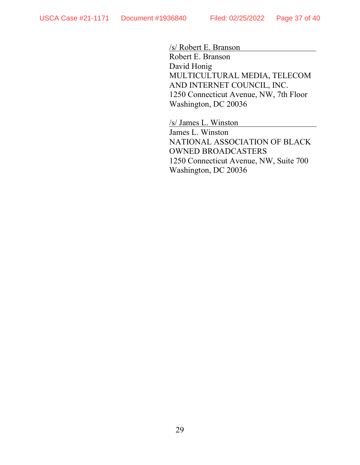/s/ Robert E. Branson

Robert E. Branson David Honig MULTICULTURAL MEDIA, TELECOM AND INTERNET COUNCIL, INC. 1250 Connecticut Avenue, NW, 7th Floor Washington, DC 20036

/s/ James L. Winston

James L. Winston NATIONAL ASSOCIATION OF BLACK OWNED BROADCASTERS 1250 Connecticut Avenue, NW, Suite 700 Washington, DC 20036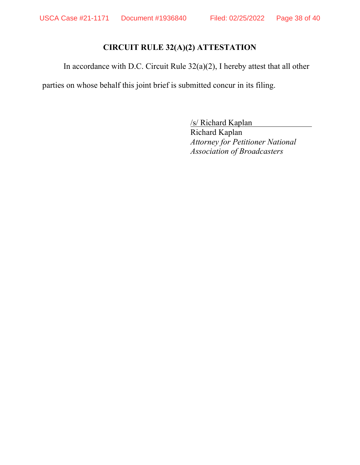# CIRCUIT RULE 32(A)(2) ATTESTATION

In accordance with D.C. Circuit Rule 32(a)(2), I hereby attest that all other

parties on whose behalf this joint brief is submitted concur in its filing.

/s/ Richard Kaplan

Richard Kaplan Attorney for Petitioner National Association of Broadcasters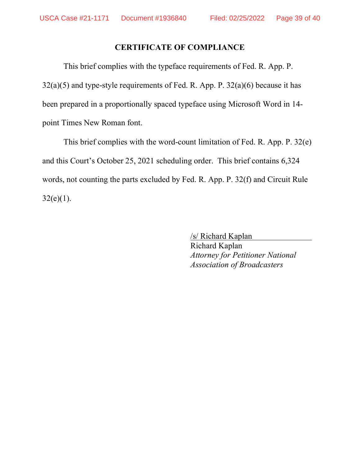# CERTIFICATE OF COMPLIANCE

This brief complies with the typeface requirements of Fed. R. App. P.  $32(a)(5)$  and type-style requirements of Fed. R. App. P.  $32(a)(6)$  because it has been prepared in a proportionally spaced typeface using Microsoft Word in 14 point Times New Roman font.

This brief complies with the word-count limitation of Fed. R. App. P. 32(e) and this Court's October 25, 2021 scheduling order. This brief contains 6,324 words, not counting the parts excluded by Fed. R. App. P. 32(f) and Circuit Rule  $32(e)(1)$ .

> /s/ Richard Kaplan Richard Kaplan Attorney for Petitioner National Association of Broadcasters